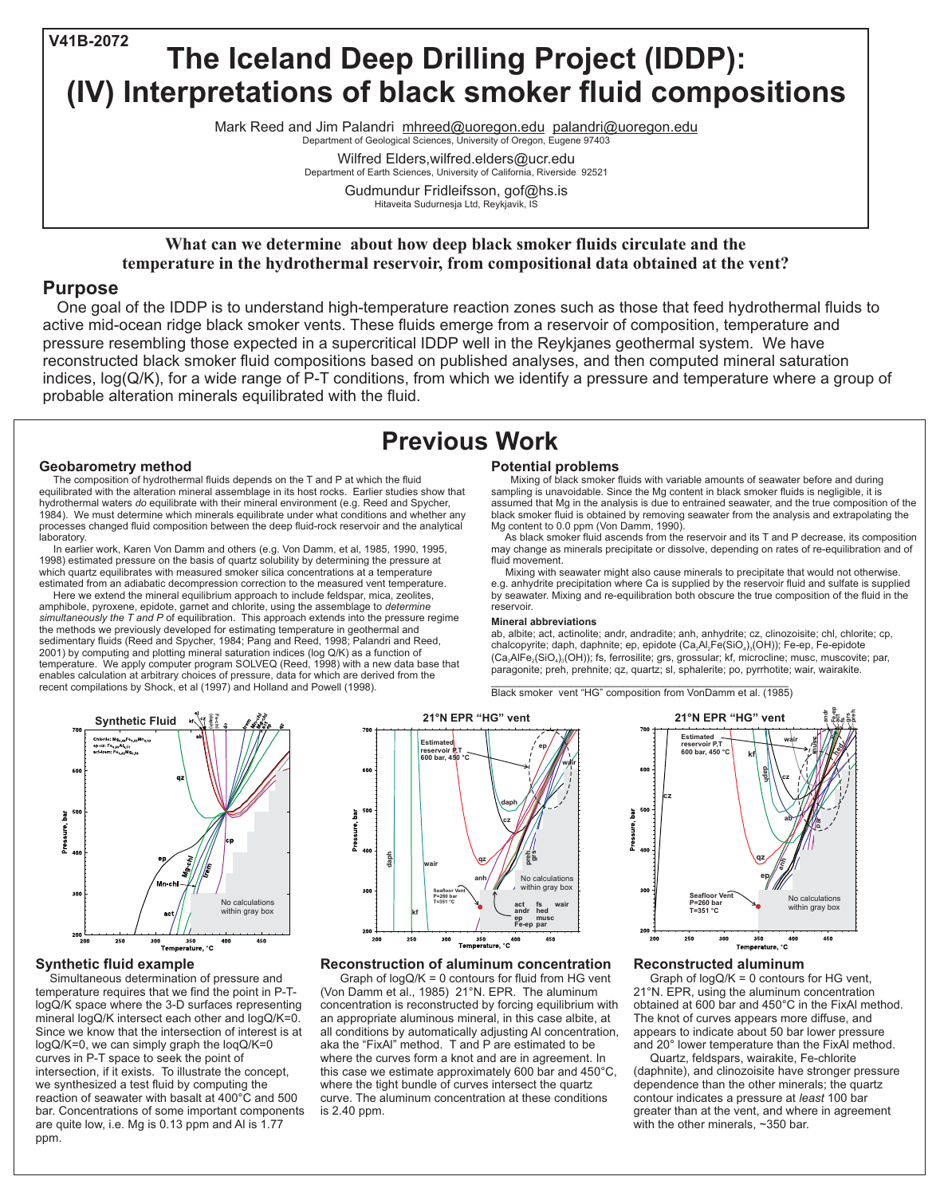**What can we determine about how deep black smoker fluids circulate and the temperature in the hydrothermal reservoir, from compositional data obtained at the vent?**

## **Purpose**

One goal of the IDDP is to understand high-temperature reaction zones such as those that feed hydrothermal fluids to active mid-ocean ridge black smoker vents. These fluids emerge from a reservoir of composition, temperature and pressure resembling those expected in a supercritical IDDP well in the Reykjanes geothermal system. We have reconstructed black smoker fluid compositions based on published analyses, and then computed mineral saturation indices, log(Q/K), for a wide range of P-T conditions, from which we identify a pressure and temperature where a group of probable alteration minerals equilibrated with the fluid.

> Graph of  $logQ/K = 0$  contours for fluid from HG vent (Von Damm et al., 1985) 21°N. EPR. The aluminum concentration is reconstructed by forcing equilibrium with an appropriate aluminous mineral, in this case albite, at all conditions by automatically adjusting Al concentration, aka the "FixAl" method. T and P are estimated to be where the curves form a knot and are in agreement. In

#### **Reconstructed aluminum**

Graph of  $logQ/K = 0$  contours for HG vent, 21°N. EPR, using the aluminum concentration obtained at 600 bar and 450°C in the FixAl method. The knot of curves appears more diffuse, and appears to indicate about 50 bar lower pressure and 20° lower temperature than the FixAl method. Quartz, feldspars, wairakite, Fe-chlorite (daphnite), and clinozoisite have stronger pressure dependence than the other minerals; the quartz contour indicates a pressure at *least* 100 bar greater than at the vent, and where in agreement with the other minerals, ~350 bar.

#### **Reconstruction of aluminum concentration**

 $\mathcal{L}_\text{max}$  and  $\mathcal{L}_\text{max}$  and  $\mathcal{L}_\text{max}$  and  $\mathcal{L}_\text{max}$  and  $\mathcal{L}_\text{max}$  and  $\mathcal{L}_\text{max}$ Black smoker vent "HG" composition from VonDamm et al. (1985)

#### **Potential problems**



Mixing of black smoker fluids with variable amounts of seawater before and during sampling is unavoidable. Since the Mg content in black smoker fluids is negligible, it is assumed that Mg in the analysis is due to entrained seawater, and the true composition of the black smoker fluid is obtained by removing seawater from the analysis and extrapolating the Mg content to 0.0 ppm (Von Damm, 1990).

As black smoker fluid ascends from the reservoir and its T and P decrease, its composition may change as minerals precipitate or dissolve, depending on rates of re-equilibration and of fluid movement.

Mixing with seawater might also cause minerals to precipitate that would not otherwise. e.g. anhydrite precipitation where Ca is supplied by the reservoir fluid and sulfate is supplied by seawater. Mixing and re-equilibration both obscure the true composition of the fluid in the reservoir.

Department of Geological Sciences, University of Oregon, Eugene 97403 Mark Reed and Jim Palandri mhreed@uoregon.edu palandri@uoregon.edu

#### **Mineral abbreviations**

this case we estimate approximately 600 bar and 450°C, where the tight bundle of curves intersect the quartz curve. The aluminum concentration at these conditions is 2.40 ppm. Simultaneous determination of pressure and temperature requires that we find the point in P-TlogQ/K space where the 3-D surfaces representing mineral logQ/K intersect each other and logQ/K=0. Since we know that the intersection of interest is at logQ/K=0, we can simply graph the loqQ/K=0 curves in P-T space to seek the point of intersection, if it exists. To illustrate the concept, we synthesized a test fluid by computing the reaction of seawater with basalt at 400°C and 500 bar. Concentrations of some important components are quite low, i.e. Mg is 0.13 ppm and Al is 1.77

ab, albite; act, actinolite; andr, andradite; anh, anhydrite; cz, clinozoisite; chl, chlorite; cp, chalcopyrite; daph, daphnite; ep, epidote (Ca<sub>2</sub>Al<sub>2</sub>Fe(SiO<sub>4</sub>)<sub>3</sub>(OH)); Fe-ep, Fe-epidote  $(Ca<sub>2</sub>AIFe<sub>2</sub>(SiO<sub>4</sub>)<sub>3</sub>(OH))$ ; fs, ferrosilite; grs, grossular; kf, microcline; musc, muscovite; par, paragonite; preh, prehnite; qz, quartz; sl, sphalerite; po, pyrrhotite; wair, wairakite.

### **Synthetic fluid example**







### **Geobarometry method**

The composition of hydrothermal fluids depends on the T and P at which the fluid equilibrated with the alteration mineral assemblage in its host rocks. Earlier studies show that hydrothermal waters do equilibrate with their mineral environment (e.g. Reed and Spycher, 1984). We must determine which minerals equilibrate under what conditions and whether any processes changed fluid composition between the deep fluid-rock reservoir and the analytical laboratory.

In earlier work, Karen Von Damm and others (e.g. Von Damm, et al, 1985, 1990, 1995, 1998) estimated pressure on the basis of quartz solubility by determining the pressure at which quartz equilibrates with measured smoker silica concentrations at a temperature estimated from an adiabatic decompression correction to the measured vent temperature.

Here we extend the mineral equilibrium approach to include feldspar, mica, zeolites, amphibole, pyroxene, epidote, garnet and chlorite, using the assemblage to *determine* simultaneously the T and P of equilibration. This approach extends into the pressure regime the methods we previously developed for estimating temperature in geothermal and sedimentary fluids (Reed and Spycher, 1984; Pang and Reed, 1998; Palandri and Reed, 2001) by computing and plotting mineral saturation indices (log Q/K) as a function of temperature. We apply computer program SOLVEQ (Reed, 1998) with a new data base that enables calculation at arbitrary choices of pressure, data for which are derived from the recent compilations by Shock, et al (1997) and Holland and Powell (1998).

# **Previous Work**

# **The Iceland Deep Drilling Project (IDDP): (IV) Interpretations of black smoker fluid compositions V41B-2072**

Department of Earth Sciences, University of California, Riverside 92521 Wilfred Elders,wilfred.elders@ucr.edu

> Hitaveita Sudurnesja Ltd, Reykjavik, IS Gudmundur Fridleifsson, gof@hs.is